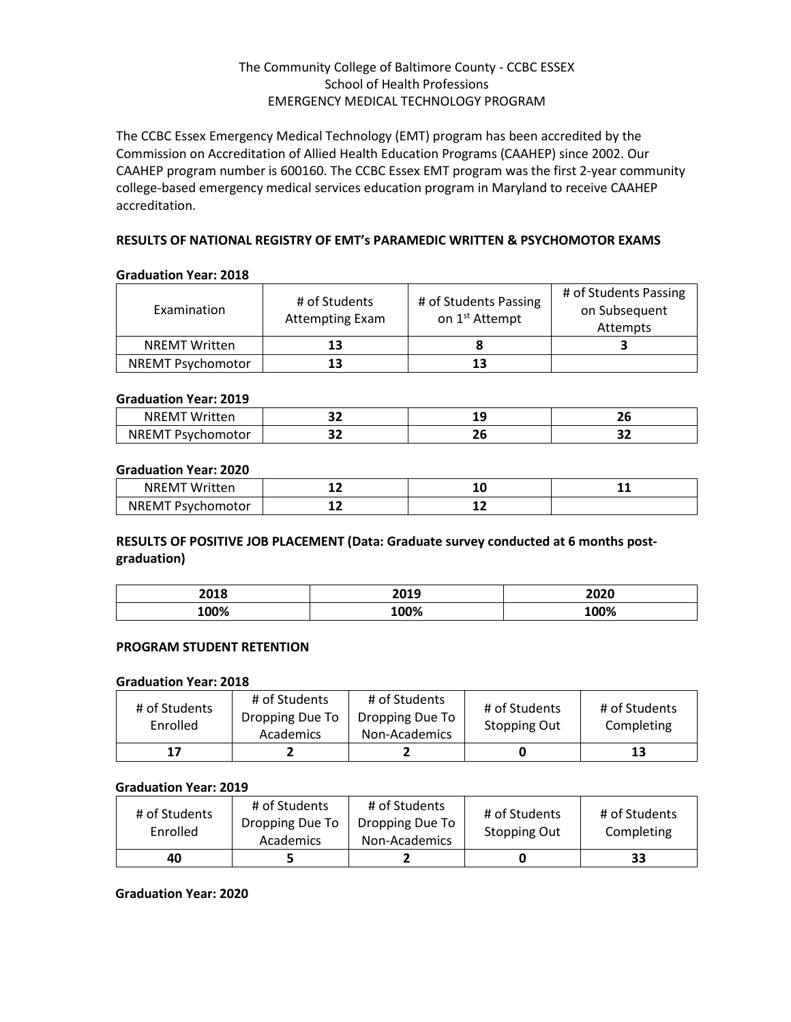# The Community College of Baltimore County - CCBC ESSEX School of Health Professions EMERGENCY MEDICAL TECHNOLOGY PROGRAM

The CCBC Essex Emergency Medical Technology (EMT) program has been accredited by the Commission on Accreditation of Allied Health Education Programs (CAAHEP) since 2002. Our CAAHEP program number is 600160. The CCBC Essex EMT program was the first 2-year community college-based emergency medical services education program in Maryland to receive CAAHEP accreditation.

## **RESULTS OF NATIONAL REGISTRY OF EMT's PARAMEDIC WRITTEN & PSYCHOMOTOR EXAMS**

## **Graduation Year: 2018**

| Examination          | # of Students<br><b>Attempting Exam</b> |    | # of Students Passing<br>on Subsequent<br>Attempts |
|----------------------|-----------------------------------------|----|----------------------------------------------------|
| <b>NREMT Written</b> | 13                                      |    |                                                    |
| NREMT Psychomotor    | 13                                      | 13 |                                                    |

#### **Graduation Year: 2019**

| NR.<br>'ritten<br>W.<br>∙wı  | <br>◡ | . A<br>--    | $\sim$<br>δU |
|------------------------------|-------|--------------|--------------|
| <b>NRFM</b><br>homotor.<br>м | - -   | $\sim$<br>LL | <br>◡        |

### **Graduation Year: 2020**

| NREMT<br>Written            | -- |    | . . |
|-----------------------------|----|----|-----|
| NREM.<br>:homotor<br>. Psvr | -- | -- |     |

# **RESULTS OF POSITIVE JOB PLACEMENT (Data: Graduate survey conducted at 6 months postgraduation)**

| <b>2010</b>              | <b>2010</b>     | חרחר  |
|--------------------------|-----------------|-------|
| -UIU                     | ZUIJ            | LUZU. |
| ____                     | ____            | ____  |
| 00 <sub>0</sub><br>JU 70 | nn <sub>o</sub> | .00%  |

## **PROGRAM STUDENT RETENTION**

### **Graduation Year: 2018**

| # of Students<br>Enrolled | # of Students<br>Dropping Due To<br>Academics | # of Students<br>Dropping Due To<br>Non-Academics | # of Students<br><b>Stopping Out</b> | # of Students<br>Completing |
|---------------------------|-----------------------------------------------|---------------------------------------------------|--------------------------------------|-----------------------------|
|                           |                                               |                                                   |                                      | 13                          |

## **Graduation Year: 2019**

| # of Students<br>Enrolled | # of Students<br>Dropping Due To<br>Academics | # of Students<br>Dropping Due To<br>Non-Academics | # of Students<br><b>Stopping Out</b> | # of Students<br>Completing |
|---------------------------|-----------------------------------------------|---------------------------------------------------|--------------------------------------|-----------------------------|
| 40                        |                                               |                                                   |                                      | 33                          |

## **Graduation Year: 2020**